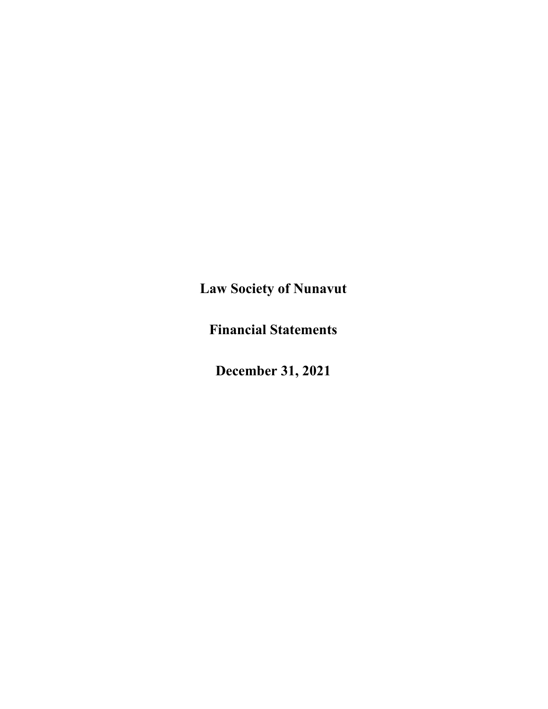**Financial Statements**

**December 31, 2021**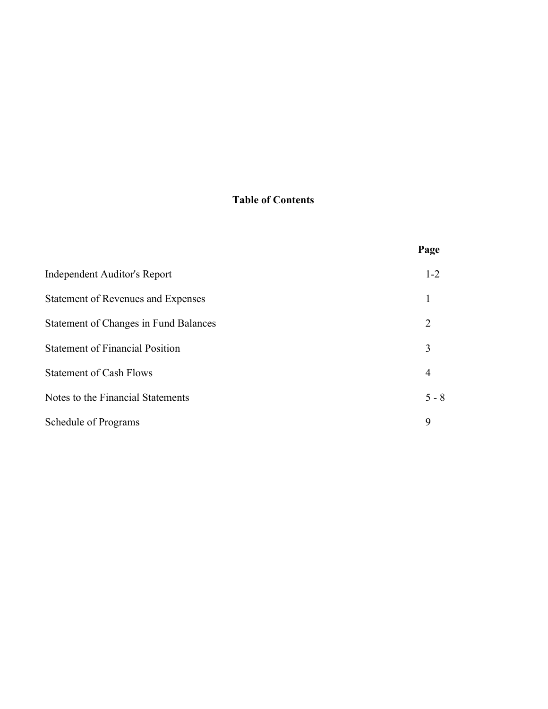#### **Table of Contents**

|                                              | Page    |
|----------------------------------------------|---------|
| Independent Auditor's Report                 | $1 - 2$ |
| Statement of Revenues and Expenses           |         |
| <b>Statement of Changes in Fund Balances</b> | 2       |
| <b>Statement of Financial Position</b>       | 3       |
| <b>Statement of Cash Flows</b>               | 4       |
| Notes to the Financial Statements            | $5 - 8$ |
| Schedule of Programs                         | 9       |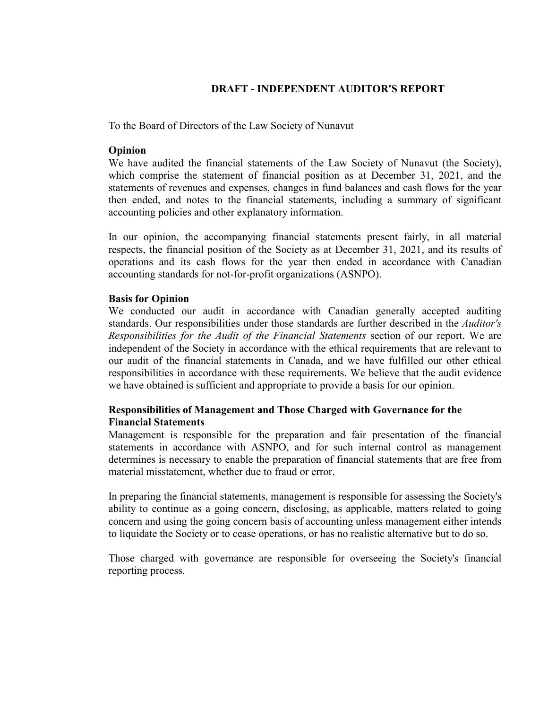#### **DRAFT - INDEPENDENT AUDITOR'S REPORT**

To the Board of Directors of the Law Society of Nunavut

#### **Opinion**

We have audited the financial statements of the Law Society of Nunavut (the Society), which comprise the statement of financial position as at December 31, 2021, and the statements of revenues and expenses, changes in fund balances and cash flows for the year then ended, and notes to the financial statements, including a summary of significant accounting policies and other explanatory information.

In our opinion, the accompanying financial statements present fairly, in all material respects, the financial position of the Society as at December 31, 2021, and its results of operations and its cash flows for the year then ended in accordance with Canadian accounting standards for not-for-profit organizations (ASNPO).

#### **Basis for Opinion**

We conducted our audit in accordance with Canadian generally accepted auditing standards. Our responsibilities under those standards are further described in the *Auditor's Responsibilities for the Audit of the Financial Statements* section of our report. We are independent of the Society in accordance with the ethical requirements that are relevant to our audit of the financial statements in Canada, and we have fulfilled our other ethical responsibilities in accordance with these requirements. We believe that the audit evidence we have obtained is sufficient and appropriate to provide a basis for our opinion.

#### **Responsibilities of Management and Those Charged with Governance for the Financial Statements**

Management is responsible for the preparation and fair presentation of the financial statements in accordance with ASNPO, and for such internal control as management determines is necessary to enable the preparation of financial statements that are free from material misstatement, whether due to fraud or error.

In preparing the financial statements, management is responsible for assessing the Society's ability to continue as a going concern, disclosing, as applicable, matters related to going concern and using the going concern basis of accounting unless management either intends to liquidate the Society or to cease operations, or has no realistic alternative but to do so.

Those charged with governance are responsible for overseeing the Society's financial reporting process.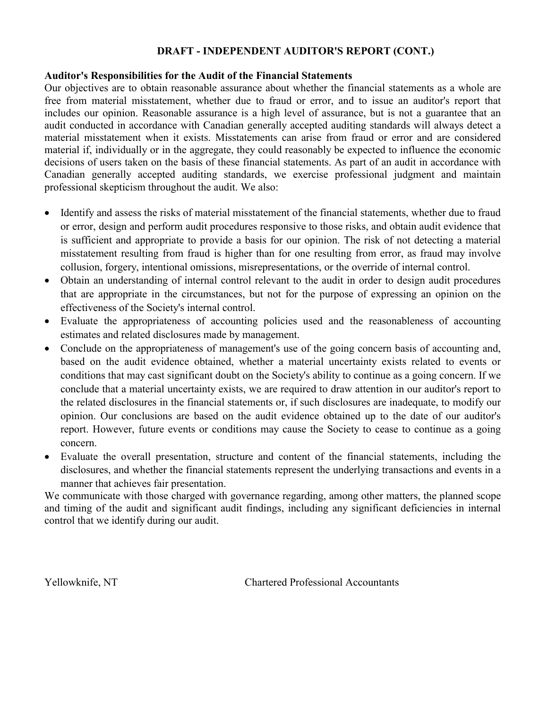#### **DRAFT INDEPENDENT AUDITOR'S REPORT (CONT.)**

#### **Auditor's Responsibilities for the Audit of the Financial Statements**

Our objectives are to obtain reasonable assurance about whether the financial statements as a whole are free from material misstatement, whether due to fraud or error, and to issue an auditor's report that includes our opinion. Reasonable assurance is a high level of assurance, but is not a guarantee that an audit conducted in accordance with Canadian generally accepted auditing standards will always detect a material misstatement when it exists. Misstatements can arise from fraud or error and are considered material if, individually or in the aggregate, they could reasonably be expected to influence the economic decisions of users taken on the basis of these financial statements. As part of an audit in accordance with Canadian generally accepted auditing standards, we exercise professional judgment and maintain professional skepticism throughout the audit. We also:

- Identify and assess the risks of material misstatement of the financial statements, whether due to fraud or error, design and perform audit procedures responsive to those risks, and obtain audit evidence that is sufficient and appropriate to provide a basis for our opinion. The risk of not detecting a material misstatement resulting from fraud is higher than for one resulting from error, as fraud may involve collusion, forgery, intentional omissions, misrepresentations, or the override of internal control.
- Obtain an understanding of internal control relevant to the audit in order to design audit procedures that are appropriate in the circumstances, but not for the purpose of expressing an opinion on the effectiveness of the Society's internal control.
- Evaluate the appropriateness of accounting policies used and the reasonableness of accounting estimates and related disclosures made by management.
- Conclude on the appropriateness of management's use of the going concern basis of accounting and, based on the audit evidence obtained, whether a material uncertainty exists related to events or conditions that may cast significant doubt on the Society's ability to continue as a going concern. If we conclude that a material uncertainty exists, we are required to draw attention in our auditor's report to the related disclosures in the financial statements or, if such disclosures are inadequate, to modify our opinion. Our conclusions are based on the audit evidence obtained up to the date of our auditor's report. However, future events or conditions may cause the Society to cease to continue as a going concern.
- Evaluate the overall presentation, structure and content of the financial statements, including the disclosures, and whether the financial statements represent the underlying transactions and events in a manner that achieves fair presentation.

We communicate with those charged with governance regarding, among other matters, the planned scope and timing of the audit and significant audit findings, including any significant deficiencies in internal control that we identify during our audit.

Yellowknife, NT Chartered Professional Accountants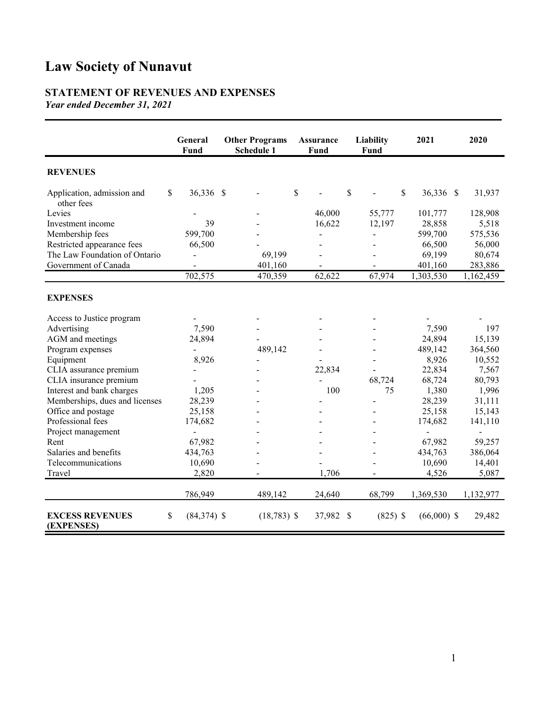#### **STATEMENT OF REVENUES AND EXPENSES** *Year ended December 31, 2021*

|                                          | <b>General</b><br>Fund | <b>Other Programs</b><br>Schedule 1 | <b>Assurance</b><br>Fund | Liability<br><b>Fund</b> | 2021                     | 2020           |
|------------------------------------------|------------------------|-------------------------------------|--------------------------|--------------------------|--------------------------|----------------|
| <b>REVENUES</b>                          |                        |                                     |                          |                          |                          |                |
| Application, admission and<br>other fees | \$<br>36,336 \$        |                                     | \$                       | \$                       | $\mathbb S$<br>36,336 \$ | 31,937         |
| Levies                                   |                        |                                     | 46,000                   | 55,777                   | 101,777                  | 128,908        |
| Investment income                        | 39                     |                                     | 16,622                   | 12,197                   | 28,858                   | 5,518          |
| Membership fees                          | 599,700                |                                     |                          |                          | 599,700                  | 575,536        |
| Restricted appearance fees               | 66,500                 |                                     |                          |                          | 66,500                   | 56,000         |
| The Law Foundation of Ontario            | $\blacksquare$         | 69,199                              |                          |                          | 69,199                   | 80,674         |
| Government of Canada                     |                        | 401,160                             |                          |                          | 401,160                  | 283,886        |
|                                          | 702,575                | 470,359                             | 62,622                   | 67,974                   | 1,303,530                | 1,162,459      |
| <b>EXPENSES</b>                          |                        |                                     |                          |                          |                          |                |
| Access to Justice program                |                        |                                     |                          |                          |                          |                |
| Advertising                              | 7,590                  |                                     |                          |                          | 7,590                    | 197            |
| AGM and meetings                         | 24,894                 |                                     |                          |                          | 24,894                   | 15,139         |
| Program expenses                         | $\overline{a}$         | 489,142                             |                          |                          | 489,142                  | 364,560        |
| Equipment                                | 8,926                  |                                     |                          |                          | 8,926                    | 10,552         |
| CLIA assurance premium                   |                        |                                     | 22,834                   |                          | 22,834                   | 7,567          |
| CLIA insurance premium                   |                        |                                     |                          | 68,724                   | 68,724                   | 80,793         |
| Interest and bank charges                | 1,205                  |                                     | 100                      | 75                       | 1,380                    | 1,996          |
| Memberships, dues and licenses           | 28,239                 |                                     |                          | $\overline{\phantom{0}}$ | 28,239                   | 31,111         |
| Office and postage                       | 25,158                 |                                     |                          |                          | 25,158                   | 15,143         |
| Professional fees                        | 174,682                |                                     |                          |                          | 174,682                  | 141,110        |
| Project management                       | $\blacksquare$         |                                     |                          |                          | $\overline{\phantom{a}}$ | $\blacksquare$ |
| Rent                                     | 67,982                 |                                     |                          |                          | 67,982                   | 59,257         |
| Salaries and benefits                    | 434,763                |                                     |                          |                          | 434,763                  | 386,064        |
| Telecommunications                       | 10,690                 |                                     |                          |                          | 10,690                   | 14,401         |
| Travel                                   | 2,820                  |                                     | 1,706                    |                          | 4,526                    | 5,087          |
|                                          | 786,949                | 489,142                             | 24,640                   | 68,799                   | 1,369,530                | 1,132,977      |
| <b>EXCESS REVENUES</b><br>(EXPENSES)     | \$<br>$(84,374)$ \$    | $(18, 783)$ \$                      | 37,982                   | $(825)$ \$<br>S          | $(66,000)$ \$            | 29,482         |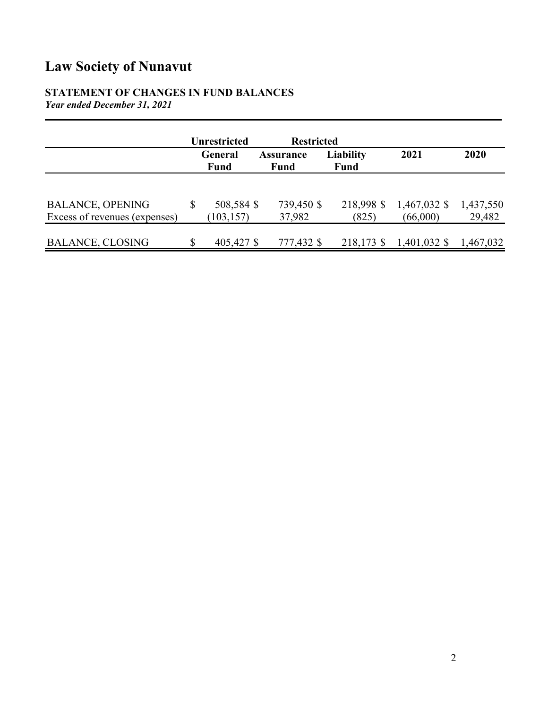#### **STATEMENT OF CHANGES IN FUND BALANCES** *Year ended December 31, 2021*

|                                                          | <b>Unrestricted</b>            | <b>Restricted</b>        |                                 |                            |                     |
|----------------------------------------------------------|--------------------------------|--------------------------|---------------------------------|----------------------------|---------------------|
|                                                          | General<br><b>Fund</b>         | <b>Assurance</b><br>Fund | <b>Liability</b><br><b>Fund</b> | 2021                       | 2020                |
|                                                          |                                |                          |                                 |                            |                     |
| <b>BALANCE, OPENING</b><br>Excess of revenues (expenses) | \$<br>508,584 \$<br>(103, 157) | 739,450 \$<br>37,982     | 218,998 \$<br>(825)             | $1,467,032$ \$<br>(66,000) | 1,437,550<br>29,482 |
| <b>BALANCE, CLOSING</b>                                  | 405,427 \$                     | 777,432 \$               | 218,173 \$                      | $1,401,032$ \$             | 1,467,032           |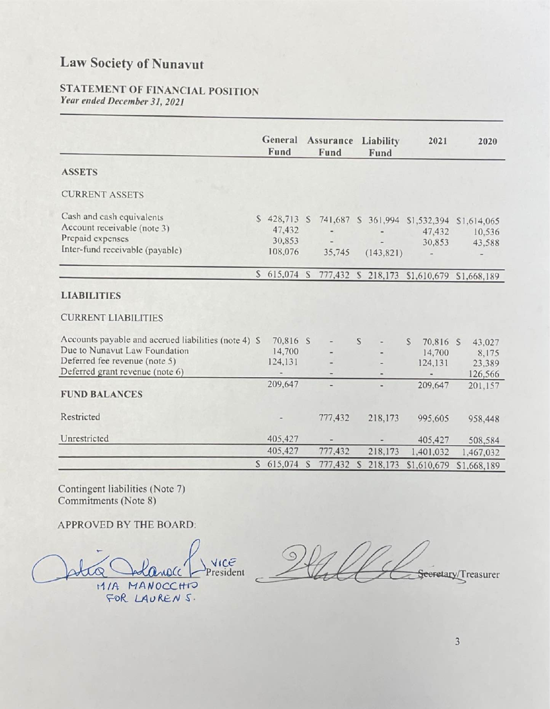## STATEMENT OF FINANCIAL POSITION Year ended December 31, 2021

|                                                                              |   | General<br>Fund               | Assurance<br>Fund | Liability<br>Fund        | 2021                                     | 2020                                                |
|------------------------------------------------------------------------------|---|-------------------------------|-------------------|--------------------------|------------------------------------------|-----------------------------------------------------|
| <b>ASSETS</b>                                                                |   |                               |                   |                          |                                          |                                                     |
| <b>CURRENT ASSETS</b>                                                        |   |                               |                   |                          |                                          |                                                     |
| Cash and cash equivalents<br>Account receivable (note 3)<br>Prepaid expenses | S | 428,713 S<br>47,432<br>30,853 | 741,687           | $\overline{\phantom{a}}$ | S 361,994 S1,532,394<br>47,432<br>30,853 | \$1,614,065<br>10,536<br>43,588                     |
| Inter-fund receivable (payable)                                              |   | 108,076                       | 35,745            | (143, 821)               | -                                        |                                                     |
|                                                                              |   |                               |                   |                          |                                          | S 615,074 S 777,432 S 218,173 S1,610,679 S1,668,189 |
| <b>LIABILITIES</b>                                                           |   |                               |                   |                          |                                          |                                                     |

**CURRENT LIABILITIES** 

| Accounts payable and accrued liabilities (note 4) \$ | 70,816 S                     | $\blacksquare$               | S | $\qquad \qquad \blacksquare$ | S | 70,816 S    | 43,027      |
|------------------------------------------------------|------------------------------|------------------------------|---|------------------------------|---|-------------|-------------|
| Due to Nunavut Law Foundation                        | 14,700                       | $\blacksquare$               |   | -                            |   | 14,700      | 8,175       |
| Deferred fee revenue (note 5)                        | 124,131                      | $\qquad \qquad \blacksquare$ |   | $\overline{\phantom{0}}$     |   | 124,131     | 23,389      |
| Deferred grant revenue (note 6)                      |                              | $\qquad \qquad \blacksquare$ |   |                              |   |             | 126,566     |
|                                                      | 209,647                      | $\frac{1}{2}$                |   | $\frac{1}{2}$                |   | 209,647     | 201,157     |
| <b>FUND BALANCES</b>                                 |                              |                              |   |                              |   |             |             |
| Restricted                                           | $\qquad \qquad \blacksquare$ | 777,432                      |   | 218,173                      |   | 995,605     | 958,448     |
| Unrestricted                                         | 405,427                      |                              |   | $\blacksquare$               |   | 405,427     | 508,584     |
|                                                      | 405,427                      | 777,432                      |   | 218,173                      |   | 1,401,032   | 1,467,032   |
|                                                      | \$615,074                    | 777,432                      | S | 218,173                      |   | \$1,610,679 | \$1,668,189 |

Contingent liabilities (Note 7) Commitments (Note 8)

## APPROVED BY THE BOARD:

President nocc MIA MANOCCHIO FOR LAURENS.

Seeretary/Treasurer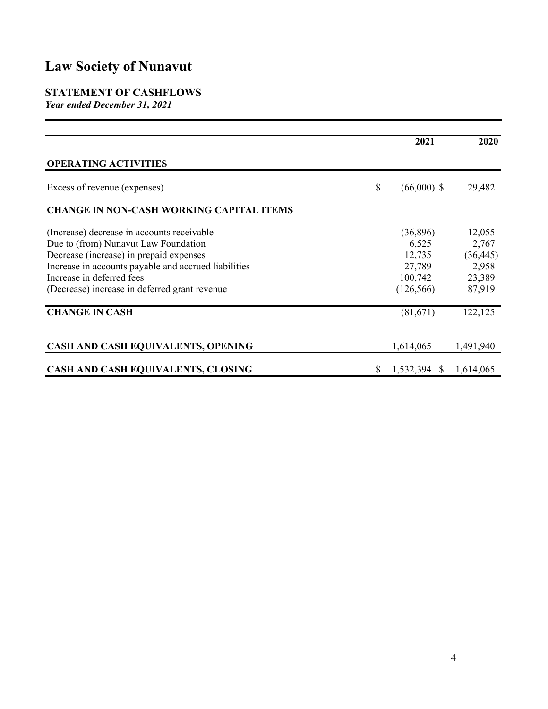## **STATEMENT OF CASHFLOWS**

*Year ended December 31, 2021*

|                                                      | 2021                | 2020      |
|------------------------------------------------------|---------------------|-----------|
| <b>OPERATING ACTIVITIES</b>                          |                     |           |
| Excess of revenue (expenses)                         | \$<br>$(66,000)$ \$ | 29,482    |
| <b>CHANGE IN NON-CASH WORKING CAPITAL ITEMS</b>      |                     |           |
| (Increase) decrease in accounts receivable           | (36,896)            | 12,055    |
| Due to (from) Nunavut Law Foundation                 | 6,525               | 2,767     |
| Decrease (increase) in prepaid expenses              | 12,735              | (36, 445) |
| Increase in accounts payable and accrued liabilities | 27,789              | 2,958     |
| Increase in deferred fees                            | 100,742             | 23,389    |
| (Decrease) increase in deferred grant revenue        | (126, 566)          | 87,919    |
| <b>CHANGE IN CASH</b>                                | (81,671)            | 122,125   |
| CASH AND CASH EQUIVALENTS, OPENING                   | 1,614,065           | 1,491,940 |
| CASH AND CASH EQUIVALENTS, CLOSING                   | \$<br>1,532,394 \$  | 1,614,065 |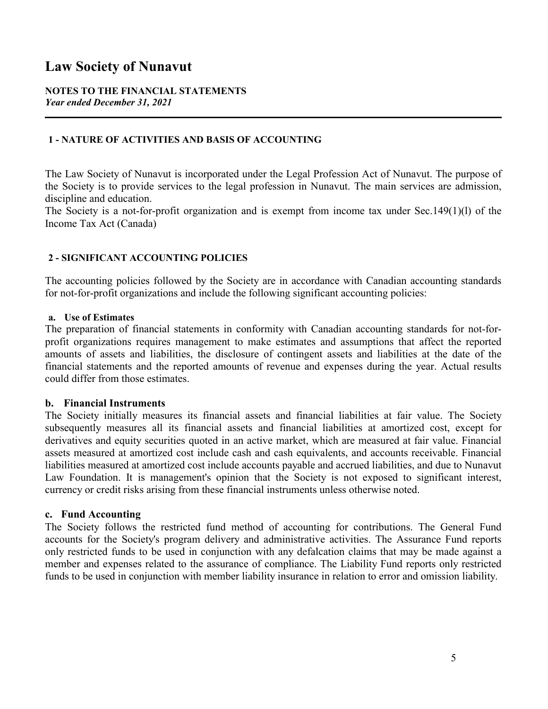#### **NOTES TO THE FINANCIAL STATEMENTS** *Year ended December 31, 2021*

#### **1 - NATURE OF ACTIVITIES AND BASIS OF ACCOUNTING**

The Law Society of Nunavut is incorporated under the Legal Profession Act of Nunavut. The purpose of the Society is to provide services to the legal profession in Nunavut. The main services are admission, discipline and education.

The Society is a not-for-profit organization and is exempt from income tax under Sec.149(1)(l) of the Income Tax Act (Canada)

#### **2 - SIGNIFICANT ACCOUNTING POLICIES**

The accounting policies followed by the Society are in accordance with Canadian accounting standards for not-for-profit organizations and include the following significant accounting policies:

#### **a. Use of Estimates**

The preparation of financial statements in conformity with Canadian accounting standards for not-forprofit organizations requires management to make estimates and assumptions that affect the reported amounts of assets and liabilities, the disclosure of contingent assets and liabilities at the date of the financial statements and the reported amounts of revenue and expenses during the year. Actual results could differ from those estimates.

#### **b. Financial Instruments**

The Society initially measures its financial assets and financial liabilities at fair value. The Society subsequently measures all its financial assets and financial liabilities at amortized cost, except for derivatives and equity securities quoted in an active market, which are measured at fair value. Financial assets measured at amortized cost include cash and cash equivalents, and accounts receivable. Financial liabilities measured at amortized cost include accounts payable and accrued liabilities, and due to Nunavut Law Foundation. It is management's opinion that the Society is not exposed to significant interest, currency or credit risks arising from these financial instruments unless otherwise noted.

#### **c. Fund Accounting**

The Society follows the restricted fund method of accounting for contributions. The General Fund accounts for the Society's program delivery and administrative activities. The Assurance Fund reports only restricted funds to be used in conjunction with any defalcation claims that may be made against a member and expenses related to the assurance of compliance. The Liability Fund reports only restricted funds to be used in conjunction with member liability insurance in relation to error and omission liability.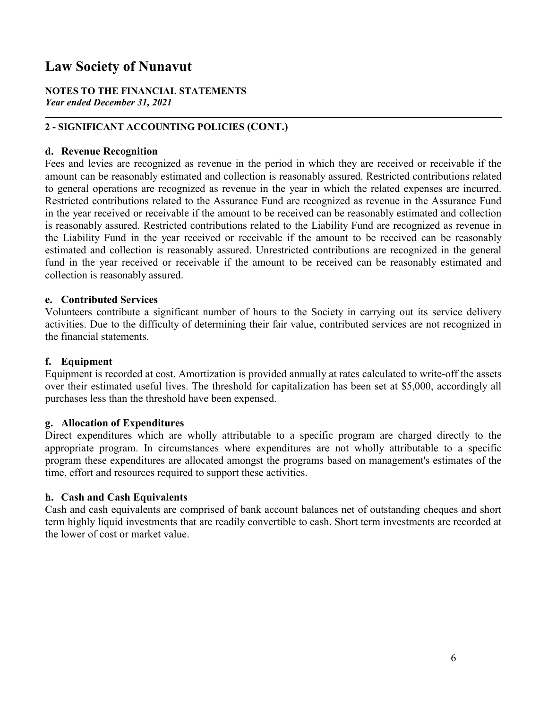#### **NOTES TO THE FINANCIAL STATEMENTS** *Year ended December 31, 2021*

#### **2 - SIGNIFICANT ACCOUNTING POLICIES (CONT.)**

#### **d. Revenue Recognition**

Fees and levies are recognized as revenue in the period in which they are received or receivable if the amount can be reasonably estimated and collection is reasonably assured. Restricted contributions related to general operations are recognized as revenue in the year in which the related expenses are incurred. Restricted contributions related to the Assurance Fund are recognized as revenue in the Assurance Fund in the year received or receivable if the amount to be received can be reasonably estimated and collection is reasonably assured. Restricted contributions related to the Liability Fund are recognized as revenue in the Liability Fund in the year received or receivable if the amount to be received can be reasonably estimated and collection is reasonably assured. Unrestricted contributions are recognized in the general fund in the year received or receivable if the amount to be received can be reasonably estimated and collection is reasonably assured.

#### **e. Contributed Services**

Volunteers contribute a significant number of hours to the Society in carrying out its service delivery activities. Due to the difficulty of determining their fair value, contributed services are not recognized in the financial statements.

#### **f. Equipment**

Equipment is recorded at cost. Amortization is provided annually at rates calculated to write-off the assets over their estimated useful lives. The threshold for capitalization has been set at \$5,000, accordingly all purchases less than the threshold have been expensed.

#### **g. Allocation of Expenditures**

Direct expenditures which are wholly attributable to a specific program are charged directly to the appropriate program. In circumstances where expenditures are not wholly attributable to a specific program these expenditures are allocated amongst the programs based on management's estimates of the time, effort and resources required to support these activities.

#### **h. Cash and Cash Equivalents**

Cash and cash equivalents are comprised of bank account balances net of outstanding cheques and short term highly liquid investments that are readily convertible to cash. Short term investments are recorded at the lower of cost or market value.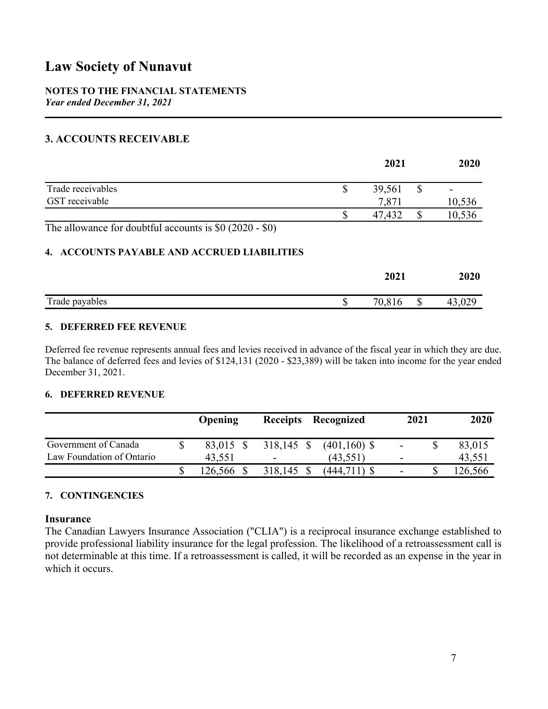#### **NOTES TO THE FINANCIAL STATEMENTS** *Year ended December 31, 2021*

#### **3. ACCOUNTS RECEIVABLE**

|                                                         | 2021   | 2020 |        |
|---------------------------------------------------------|--------|------|--------|
| Trade receivables                                       | 39,561 |      | -      |
| GST receivable                                          | 7,871  |      | 10,536 |
|                                                         | 47.432 |      | 10,536 |
| The allowance for doubtful accounts is $$0 (2020 - $0)$ |        |      |        |

#### **4. ACCOUNTS PAYABLE AND ACCRUED LIABILITIES**

| 2021                      |       |
|---------------------------|-------|
| Trade payables<br>ιυ<br>Ψ | $v -$ |

#### **5. DEFERRED FEE REVENUE**

Deferred fee revenue represents annual fees and levies received in advance of the fiscal year in which they are due. The balance of deferred fees and levies of \$124,131 (2020 - \$23,389) will be taken into income for the year ended December 31, 2021.

#### **6. DEFERRED REVENUE**

|                           | Opening   | Receipts Recognized      |                | 2021           | 2020    |
|---------------------------|-----------|--------------------------|----------------|----------------|---------|
| Government of Canada      | 83,015 \$ | $318,145$ \$             | $(401,160)$ \$ | $\blacksquare$ | 83,015  |
| Law Foundation of Ontario | 43,551    | $\overline{\phantom{a}}$ | (43, 551)      | -              | 43,551  |
|                           | 126,566   | 318,145 \$               | $(444,711)$ \$ | -              | 126,566 |

#### **7. CONTINGENCIES**

#### **Insurance**

The Canadian Lawyers Insurance Association ("CLIA") is a reciprocal insurance exchange established to provide professional liability insurance for the legal profession. The likelihood of a retroassessment call is not determinable at this time. If a retroassessment is called, it will be recorded as an expense in the year in which it occurs.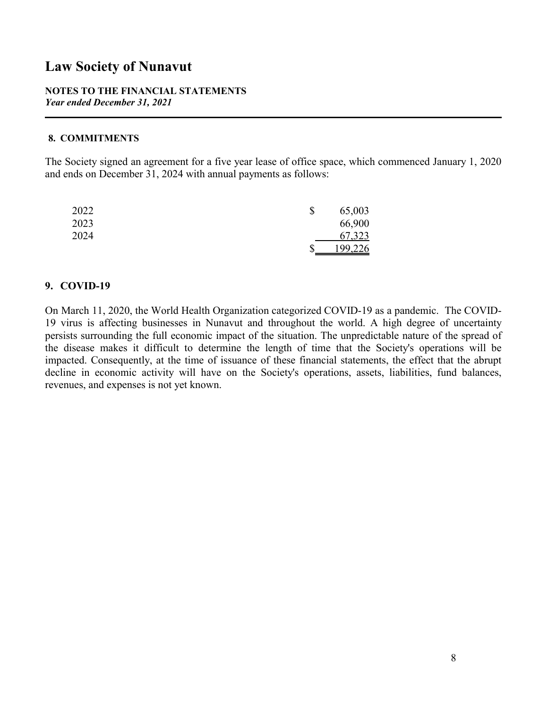#### **NOTES TO THE FINANCIAL STATEMENTS** *Year ended December 31, 2021*

#### **8. COMMITMENTS**

The Society signed an agreement for a five year lease of office space, which commenced January 1, 2020 and ends on December 31, 2024 with annual payments as follows:

| 2022 | \$ | 65,003  |  |
|------|----|---------|--|
| 2023 |    | 66,900  |  |
| 2024 |    | 67,323  |  |
|      | J  | 199,226 |  |

#### **9. COVID-19**

On March 11, 2020, the World Health Organization categorized COVID-19 as a pandemic. The COVID-19 virus is affecting businesses in Nunavut and throughout the world. A high degree of uncertainty persists surrounding the full economic impact of the situation. The unpredictable nature of the spread of the disease makes it difficult to determine the length of time that the Society's operations will be impacted. Consequently, at the time of issuance of these financial statements, the effect that the abrupt decline in economic activity will have on the Society's operations, assets, liabilities, fund balances, revenues, and expenses is not yet known.